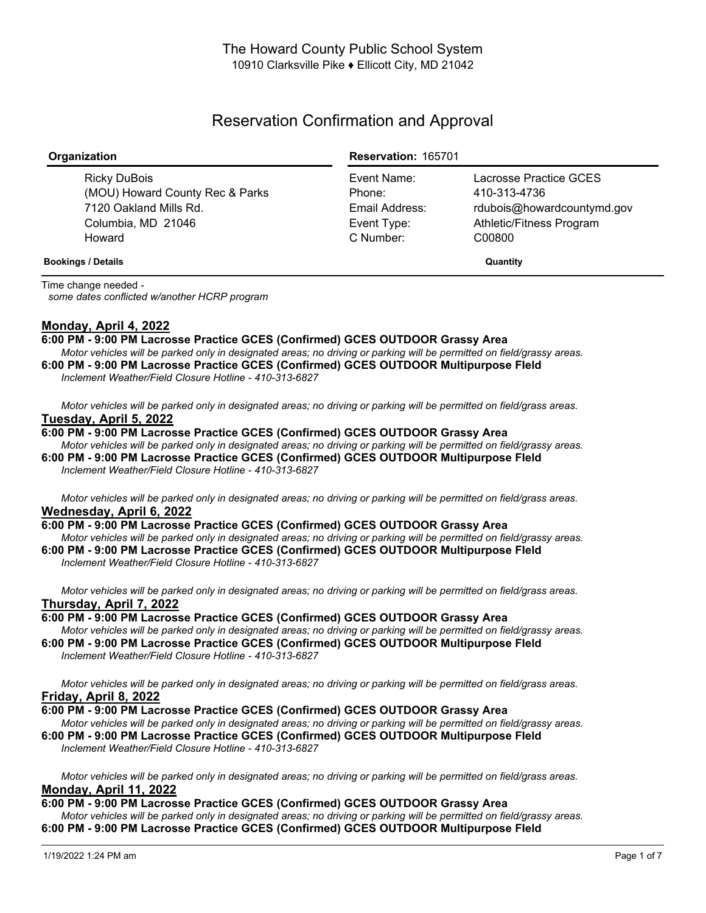# Reservation Confirmation and Approval

| Organization                                                                                              | <b>Reservation: 165701</b>                                          |                                                                                                            |
|-----------------------------------------------------------------------------------------------------------|---------------------------------------------------------------------|------------------------------------------------------------------------------------------------------------|
| Ricky DuBois<br>(MOU) Howard County Rec & Parks<br>7120 Oakland Mills Rd.<br>Columbia, MD 21046<br>Howard | Event Name:<br>Phone:<br>Email Address:<br>Event Type:<br>C Number: | Lacrosse Practice GCES<br>410-313-4736<br>rdubois@howardcountymd.gov<br>Athletic/Fitness Program<br>C00800 |
| <b>Bookings / Details</b>                                                                                 |                                                                     | Quantity                                                                                                   |

Time change needed *some dates conflicted w/another HCRP program*

# **Monday, April 4, 2022**

# **6:00 PM - 9:00 PM Lacrosse Practice GCES (Confirmed) GCES OUTDOOR Grassy Area**

Motor vehicles will be parked only in designated areas; no driving or parking will be permitted on field/grassy areas. **6:00 PM - 9:00 PM Lacrosse Practice GCES (Confirmed) GCES OUTDOOR Multipurpose FIeld**

*Inclement Weather/Field Closure Hotline - 410-313-6827*

*Inclement Weather/Field Closure Hotline - 410-313-6827*

Motor vehicles will be parked only in designated areas; no driving or parking will be permitted on field/grass areas. **Tuesday, April 5, 2022**

#### **6:00 PM - 9:00 PM Lacrosse Practice GCES (Confirmed) GCES OUTDOOR Grassy Area**

Motor vehicles will be parked only in designated areas; no driving or parking will be permitted on field/grassy areas. **6:00 PM - 9:00 PM Lacrosse Practice GCES (Confirmed) GCES OUTDOOR Multipurpose FIeld** *Inclement Weather/Field Closure Hotline - 410-313-6827*

Motor vehicles will be parked only in designated areas; no driving or parking will be permitted on field/grass areas. **Wednesday, April 6, 2022**

#### **6:00 PM - 9:00 PM Lacrosse Practice GCES (Confirmed) GCES OUTDOOR Grassy Area**

Motor vehicles will be parked only in designated areas; no driving or parking will be permitted on field/grassy areas. **6:00 PM - 9:00 PM Lacrosse Practice GCES (Confirmed) GCES OUTDOOR Multipurpose FIeld** *Inclement Weather/Field Closure Hotline - 410-313-6827*

Motor vehicles will be parked only in designated areas; no driving or parking will be permitted on field/grass areas. **Thursday, April 7, 2022**

**6:00 PM - 9:00 PM Lacrosse Practice GCES (Confirmed) GCES OUTDOOR Grassy Area** Motor vehicles will be parked only in designated areas: no driving or parking will be permitted on field/grassy areas.

**6:00 PM - 9:00 PM Lacrosse Practice GCES (Confirmed) GCES OUTDOOR Multipurpose FIeld** *Inclement Weather/Field Closure Hotline - 410-313-6827*

Motor vehicles will be parked only in designated areas; no driving or parking will be permitted on field/grass areas. **Friday, April 8, 2022**

**6:00 PM - 9:00 PM Lacrosse Practice GCES (Confirmed) GCES OUTDOOR Grassy Area** Motor vehicles will be parked only in designated areas; no driving or parking will be permitted on field/grassy areas. **6:00 PM - 9:00 PM Lacrosse Practice GCES (Confirmed) GCES OUTDOOR Multipurpose FIeld**

Motor vehicles will be parked only in designated areas; no driving or parking will be permitted on field/grass areas. **Monday, April 11, 2022**

**6:00 PM - 9:00 PM Lacrosse Practice GCES (Confirmed) GCES OUTDOOR Grassy Area** Motor vehicles will be parked only in designated areas; no driving or parking will be permitted on field/grassy areas. **6:00 PM - 9:00 PM Lacrosse Practice GCES (Confirmed) GCES OUTDOOR Multipurpose FIeld**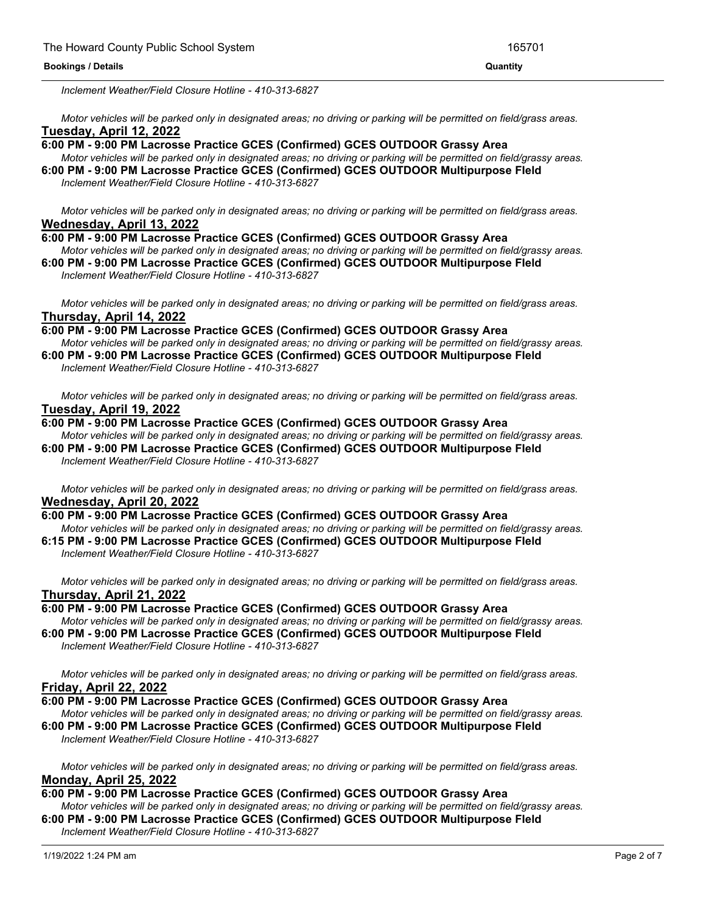*Inclement Weather/Field Closure Hotline - 410-313-6827*

Motor vehicles will be parked only in designated areas; no driving or parking will be permitted on field/grass areas. **Tuesday, April 12, 2022**

#### **6:00 PM - 9:00 PM Lacrosse Practice GCES (Confirmed) GCES OUTDOOR Grassy Area**

**6:00 PM - 9:00 PM Lacrosse Practice GCES (Confirmed) GCES OUTDOOR Multipurpose FIeld**

Motor vehicles will be parked only in designated areas; no driving or parking will be permitted on field/grassy areas. **6:00 PM - 9:00 PM Lacrosse Practice GCES (Confirmed) GCES OUTDOOR Multipurpose FIeld**

*Inclement Weather/Field Closure Hotline - 410-313-6827*

Motor vehicles will be parked only in designated areas; no driving or parking will be permitted on field/grass areas. **Wednesday, April 13, 2022**

- **6:00 PM - 9:00 PM Lacrosse Practice GCES (Confirmed) GCES OUTDOOR Grassy Area** Motor vehicles will be parked only in designated areas; no driving or parking will be permitted on field/grassy areas.
- **6:00 PM - 9:00 PM Lacrosse Practice GCES (Confirmed) GCES OUTDOOR Multipurpose FIeld** *Inclement Weather/Field Closure Hotline - 410-313-6827*

Motor vehicles will be parked only in designated areas; no driving or parking will be permitted on field/grass areas. **Thursday, April 14, 2022**

- **6:00 PM - 9:00 PM Lacrosse Practice GCES (Confirmed) GCES OUTDOOR Grassy Area** Motor vehicles will be parked only in designated areas; no driving or parking will be permitted on field/grassy areas. **6:00 PM - 9:00 PM Lacrosse Practice GCES (Confirmed) GCES OUTDOOR Multipurpose FIeld**
- *Inclement Weather/Field Closure Hotline - 410-313-6827*

Motor vehicles will be parked only in designated areas; no driving or parking will be permitted on field/grass areas. **Tuesday, April 19, 2022**

**6:00 PM - 9:00 PM Lacrosse Practice GCES (Confirmed) GCES OUTDOOR Grassy Area** Motor vehicles will be parked only in designated areas; no driving or parking will be permitted on field/grassy areas. **6:00 PM - 9:00 PM Lacrosse Practice GCES (Confirmed) GCES OUTDOOR Multipurpose FIeld**

*Inclement Weather/Field Closure Hotline - 410-313-6827*

Motor vehicles will be parked only in designated areas; no driving or parking will be permitted on field/grass areas. **Wednesday, April 20, 2022**

- **6:00 PM - 9:00 PM Lacrosse Practice GCES (Confirmed) GCES OUTDOOR Grassy Area**
- Motor vehicles will be parked only in designated areas; no driving or parking will be permitted on field/grassy areas. **6:15 PM - 9:00 PM Lacrosse Practice GCES (Confirmed) GCES OUTDOOR Multipurpose FIeld**

*Inclement Weather/Field Closure Hotline - 410-313-6827*

Motor vehicles will be parked only in designated areas; no driving or parking will be permitted on field/grass areas. **Thursday, April 21, 2022**

**6:00 PM - 9:00 PM Lacrosse Practice GCES (Confirmed) GCES OUTDOOR Grassy Area**

Motor vehicles will be parked only in designated areas; no driving or parking will be permitted on field/grassy areas. **6:00 PM - 9:00 PM Lacrosse Practice GCES (Confirmed) GCES OUTDOOR Multipurpose FIeld**

*Inclement Weather/Field Closure Hotline - 410-313-6827*

Motor vehicles will be parked only in designated areas; no driving or parking will be permitted on field/grass areas. **Friday, April 22, 2022**

## **6:00 PM - 9:00 PM Lacrosse Practice GCES (Confirmed) GCES OUTDOOR Grassy Area**

Motor vehicles will be parked only in designated areas; no driving or parking will be permitted on field/grassy areas. **6:00 PM - 9:00 PM Lacrosse Practice GCES (Confirmed) GCES OUTDOOR Multipurpose FIeld**

*Inclement Weather/Field Closure Hotline - 410-313-6827*

Motor vehicles will be parked only in designated areas; no driving or parking will be permitted on field/grass areas. **Monday, April 25, 2022**

# **6:00 PM - 9:00 PM Lacrosse Practice GCES (Confirmed) GCES OUTDOOR Grassy Area**

Motor vehicles will be parked only in designated areas; no driving or parking will be permitted on field/grassy areas. **6:00 PM - 9:00 PM Lacrosse Practice GCES (Confirmed) GCES OUTDOOR Multipurpose FIeld**

*Inclement Weather/Field Closure Hotline - 410-313-6827*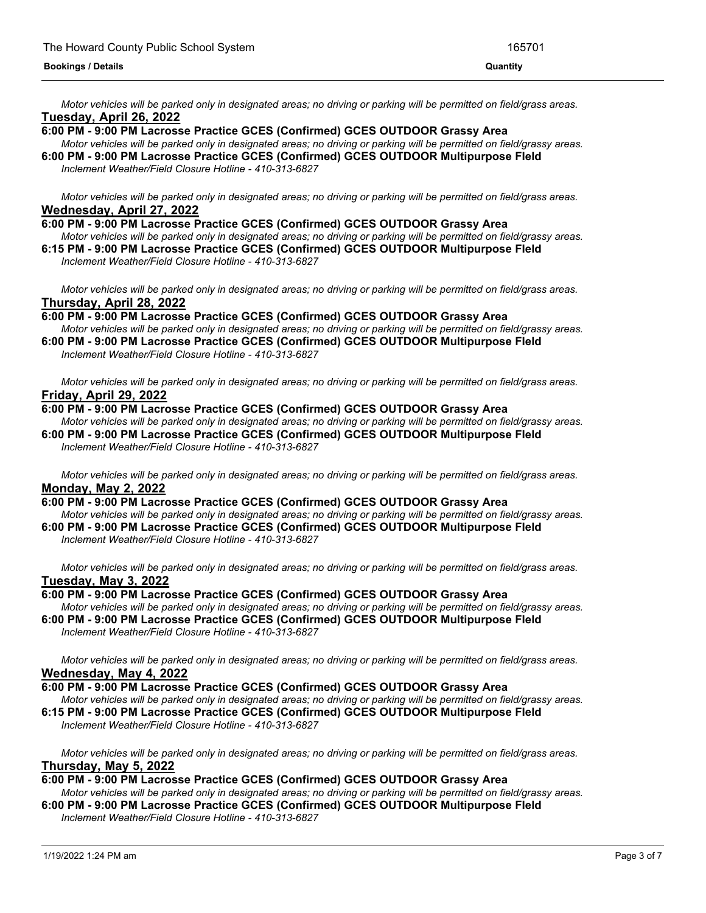Motor vehicles will be parked only in designated areas; no driving or parking will be permitted on field/grass areas. **Tuesday, April 26, 2022**

## **6:00 PM - 9:00 PM Lacrosse Practice GCES (Confirmed) GCES OUTDOOR Grassy Area**

Motor vehicles will be parked only in designated areas; no driving or parking will be permitted on field/grassy areas.

**6:00 PM - 9:00 PM Lacrosse Practice GCES (Confirmed) GCES OUTDOOR Multipurpose FIeld** *Inclement Weather/Field Closure Hotline - 410-313-6827*

Motor vehicles will be parked only in designated areas; no driving or parking will be permitted on field/grass areas. **Wednesday, April 27, 2022**

#### **6:00 PM - 9:00 PM Lacrosse Practice GCES (Confirmed) GCES OUTDOOR Grassy Area**

Motor vehicles will be parked only in designated areas; no driving or parking will be permitted on field/grassy areas. **6:15 PM - 9:00 PM Lacrosse Practice GCES (Confirmed) GCES OUTDOOR Multipurpose FIeld**

*Inclement Weather/Field Closure Hotline - 410-313-6827*

Motor vehicles will be parked only in designated areas; no driving or parking will be permitted on field/grass areas. **Thursday, April 28, 2022**

**6:00 PM - 9:00 PM Lacrosse Practice GCES (Confirmed) GCES OUTDOOR Grassy Area**

Motor vehicles will be parked only in designated areas; no driving or parking will be permitted on field/grassy areas. **6:00 PM - 9:00 PM Lacrosse Practice GCES (Confirmed) GCES OUTDOOR Multipurpose FIeld**

*Inclement Weather/Field Closure Hotline - 410-313-6827*

Motor vehicles will be parked only in designated areas; no driving or parking will be permitted on field/grass areas. **Friday, April 29, 2022**

#### **6:00 PM - 9:00 PM Lacrosse Practice GCES (Confirmed) GCES OUTDOOR Grassy Area**

Motor vehicles will be parked only in designated areas; no driving or parking will be permitted on field/grassy areas. **6:00 PM - 9:00 PM Lacrosse Practice GCES (Confirmed) GCES OUTDOOR Multipurpose FIeld** *Inclement Weather/Field Closure Hotline - 410-313-6827*

Motor vehicles will be parked only in designated areas; no driving or parking will be permitted on field/grass areas. **Monday, May 2, 2022**

**6:00 PM - 9:00 PM Lacrosse Practice GCES (Confirmed) GCES OUTDOOR Grassy Area** Motor vehicles will be parked only in designated areas; no driving or parking will be permitted on field/grassy areas.

**6:00 PM - 9:00 PM Lacrosse Practice GCES (Confirmed) GCES OUTDOOR Multipurpose FIeld** *Inclement Weather/Field Closure Hotline - 410-313-6827*

Motor vehicles will be parked only in designated areas; no driving or parking will be permitted on field/grass areas. **Tuesday, May 3, 2022**

**6:00 PM - 9:00 PM Lacrosse Practice GCES (Confirmed) GCES OUTDOOR Grassy Area** Motor vehicles will be parked only in designated areas; no driving or parking will be permitted on field/grassy areas. **6:00 PM - 9:00 PM Lacrosse Practice GCES (Confirmed) GCES OUTDOOR Multipurpose FIeld**

*Inclement Weather/Field Closure Hotline - 410-313-6827*

Motor vehicles will be parked only in designated areas; no driving or parking will be permitted on field/grass areas. **Wednesday, May 4, 2022**

**6:00 PM - 9:00 PM Lacrosse Practice GCES (Confirmed) GCES OUTDOOR Grassy Area** Motor vehicles will be parked only in designated areas; no driving or parking will be permitted on field/grassy areas.

**6:15 PM - 9:00 PM Lacrosse Practice GCES (Confirmed) GCES OUTDOOR Multipurpose FIeld** *Inclement Weather/Field Closure Hotline - 410-313-6827*

Motor vehicles will be parked only in designated areas; no driving or parking will be permitted on field/grass areas. **Thursday, May 5, 2022**

# **6:00 PM - 9:00 PM Lacrosse Practice GCES (Confirmed) GCES OUTDOOR Grassy Area**

Motor vehicles will be parked only in designated areas; no driving or parking will be permitted on field/grassy areas. **6:00 PM - 9:00 PM Lacrosse Practice GCES (Confirmed) GCES OUTDOOR Multipurpose FIeld** *Inclement Weather/Field Closure Hotline - 410-313-6827*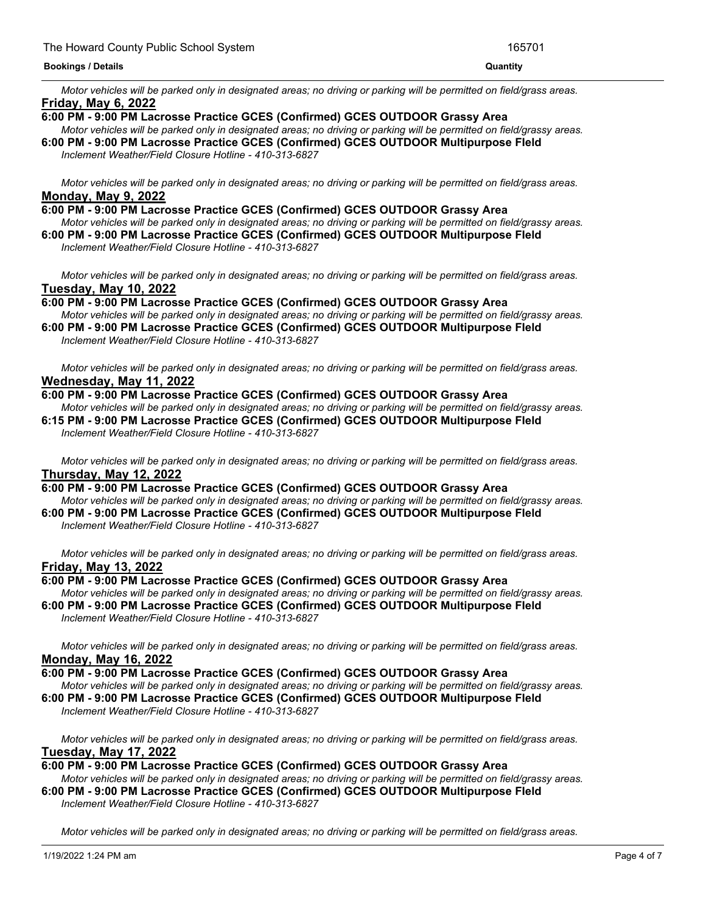Motor vehicles will be parked only in designated areas; no driving or parking will be permitted on field/grass areas. **Friday, May 6, 2022**

#### **6:00 PM - 9:00 PM Lacrosse Practice GCES (Confirmed) GCES OUTDOOR Grassy Area**

Motor vehicles will be parked only in designated areas; no driving or parking will be permitted on field/grassy areas. **6:00 PM - 9:00 PM Lacrosse Practice GCES (Confirmed) GCES OUTDOOR Multipurpose FIeld** *Inclement Weather/Field Closure Hotline - 410-313-6827*

Motor vehicles will be parked only in designated areas; no driving or parking will be permitted on field/grass areas. **Monday, May 9, 2022**

#### **6:00 PM - 9:00 PM Lacrosse Practice GCES (Confirmed) GCES OUTDOOR Grassy Area**

Motor vehicles will be parked only in designated areas; no driving or parking will be permitted on field/grassy areas. **6:00 PM - 9:00 PM Lacrosse Practice GCES (Confirmed) GCES OUTDOOR Multipurpose FIeld**

*Inclement Weather/Field Closure Hotline - 410-313-6827*

Motor vehicles will be parked only in designated areas; no driving or parking will be permitted on field/grass areas. **Tuesday, May 10, 2022**

#### **6:00 PM - 9:00 PM Lacrosse Practice GCES (Confirmed) GCES OUTDOOR Grassy Area**

Motor vehicles will be parked only in designated areas; no driving or parking will be permitted on field/grassy areas. **6:00 PM - 9:00 PM Lacrosse Practice GCES (Confirmed) GCES OUTDOOR Multipurpose FIeld**

*Inclement Weather/Field Closure Hotline - 410-313-6827*

Motor vehicles will be parked only in designated areas; no driving or parking will be permitted on field/grass areas. **Wednesday, May 11, 2022**

#### **6:00 PM - 9:00 PM Lacrosse Practice GCES (Confirmed) GCES OUTDOOR Grassy Area**

Motor vehicles will be parked only in designated areas: no driving or parking will be permitted on field/grassy areas. **6:15 PM - 9:00 PM Lacrosse Practice GCES (Confirmed) GCES OUTDOOR Multipurpose FIeld**

*Inclement Weather/Field Closure Hotline - 410-313-6827*

Motor vehicles will be parked only in designated areas; no driving or parking will be permitted on field/grass areas. **Thursday, May 12, 2022**

#### **6:00 PM - 9:00 PM Lacrosse Practice GCES (Confirmed) GCES OUTDOOR Grassy Area**

Motor vehicles will be parked only in designated areas; no driving or parking will be permitted on field/grassy areas. **6:00 PM - 9:00 PM Lacrosse Practice GCES (Confirmed) GCES OUTDOOR Multipurpose FIeld**

*Inclement Weather/Field Closure Hotline - 410-313-6827*

Motor vehicles will be parked only in designated areas; no driving or parking will be permitted on field/grass areas. **Friday, May 13, 2022**

## **6:00 PM - 9:00 PM Lacrosse Practice GCES (Confirmed) GCES OUTDOOR Grassy Area**

- Motor vehicles will be parked only in designated areas; no driving or parking will be permitted on field/grassy areas. **6:00 PM - 9:00 PM Lacrosse Practice GCES (Confirmed) GCES OUTDOOR Multipurpose FIeld**
	- *Inclement Weather/Field Closure Hotline - 410-313-6827*

Motor vehicles will be parked only in designated areas; no driving or parking will be permitted on field/grass areas. **Monday, May 16, 2022**

- **6:00 PM - 9:00 PM Lacrosse Practice GCES (Confirmed) GCES OUTDOOR Grassy Area**
- Motor vehicles will be parked only in designated areas; no driving or parking will be permitted on field/grassy areas.
- **6:00 PM - 9:00 PM Lacrosse Practice GCES (Confirmed) GCES OUTDOOR Multipurpose FIeld** *Inclement Weather/Field Closure Hotline - 410-313-6827*

Motor vehicles will be parked only in designated areas; no driving or parking will be permitted on field/grass areas. **Tuesday, May 17, 2022**

**6:00 PM - 9:00 PM Lacrosse Practice GCES (Confirmed) GCES OUTDOOR Grassy Area** Motor vehicles will be parked only in designated areas; no driving or parking will be permitted on field/grassy areas.

**6:00 PM - 9:00 PM Lacrosse Practice GCES (Confirmed) GCES OUTDOOR Multipurpose FIeld** *Inclement Weather/Field Closure Hotline - 410-313-6827*

Motor vehicles will be parked only in designated areas; no driving or parking will be permitted on field/grass areas.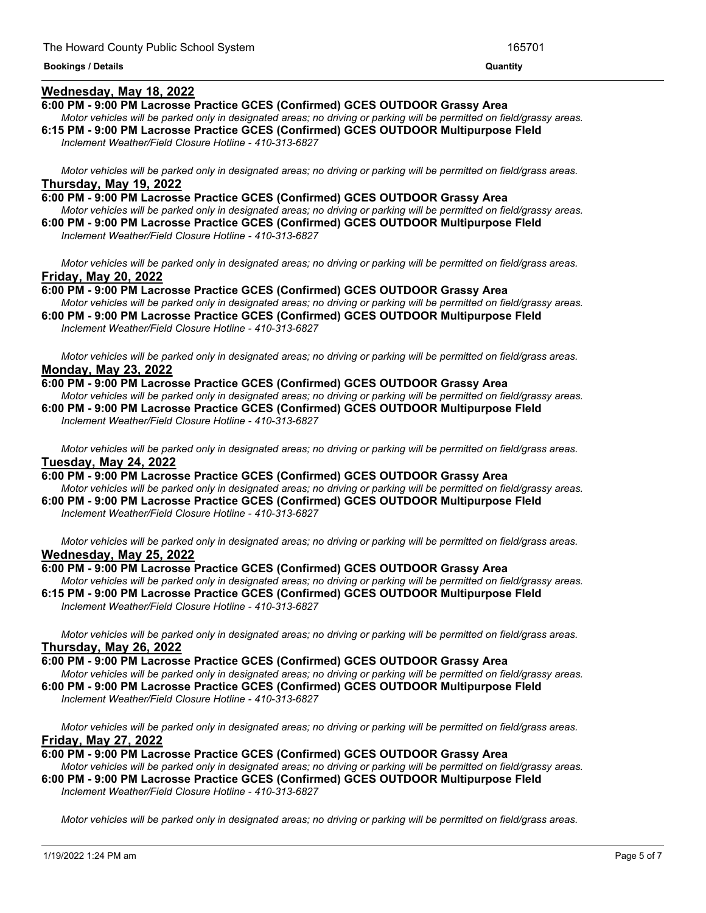## **Wednesday, May 18, 2022**

#### **6:00 PM - 9:00 PM Lacrosse Practice GCES (Confirmed) GCES OUTDOOR Grassy Area**

Motor vehicles will be parked only in designated areas; no driving or parking will be permitted on field/grassy areas.

*Motor vehicles will be parked only in designated areas; no driving or parking will be permitted on field/grass areas.*

**6:15 PM - 9:00 PM Lacrosse Practice GCES (Confirmed) GCES OUTDOOR Multipurpose FIeld** *Inclement Weather/Field Closure Hotline - 410-313-6827*

Motor vehicles will be parked only in designated areas; no driving or parking will be permitted on field/grass areas. **Thursday, May 19, 2022**

**6:00 PM - 9:00 PM Lacrosse Practice GCES (Confirmed) GCES OUTDOOR Grassy Area** Motor vehicles will be parked only in designated areas; no driving or parking will be permitted on field/grassy areas.

**6:00 PM - 9:00 PM Lacrosse Practice GCES (Confirmed) GCES OUTDOOR Multipurpose FIeld** *Inclement Weather/Field Closure Hotline - 410-313-6827*

Motor vehicles will be parked only in designated areas; no driving or parking will be permitted on field/grass areas. **Friday, May 20, 2022**

**6:00 PM - 9:00 PM Lacrosse Practice GCES (Confirmed) GCES OUTDOOR Grassy Area** Motor vehicles will be parked only in designated areas; no driving or parking will be permitted on field/grassy areas.

**6:00 PM - 9:00 PM Lacrosse Practice GCES (Confirmed) GCES OUTDOOR Multipurpose FIeld** *Inclement Weather/Field Closure Hotline - 410-313-6827*

Motor vehicles will be parked only in designated areas; no driving or parking will be permitted on field/grass areas. **Monday, May 23, 2022**

**6:00 PM - 9:00 PM Lacrosse Practice GCES (Confirmed) GCES OUTDOOR Grassy Area** Motor vehicles will be parked only in designated areas: no driving or parking will be permitted on field/grassy areas. **6:00 PM - 9:00 PM Lacrosse Practice GCES (Confirmed) GCES OUTDOOR Multipurpose FIeld**

*Inclement Weather/Field Closure Hotline - 410-313-6827*

Motor vehicles will be parked only in designated areas; no driving or parking will be permitted on field/grass areas. **Tuesday, May 24, 2022**

**6:00 PM - 9:00 PM Lacrosse Practice GCES (Confirmed) GCES OUTDOOR Grassy Area** Motor vehicles will be parked only in designated areas; no driving or parking will be permitted on field/grassy areas. **6:00 PM - 9:00 PM Lacrosse Practice GCES (Confirmed) GCES OUTDOOR Multipurpose FIeld**

*Inclement Weather/Field Closure Hotline - 410-313-6827*

Motor vehicles will be parked only in designated areas; no driving or parking will be permitted on field/grass areas. **Wednesday, May 25, 2022**

## **6:00 PM - 9:00 PM Lacrosse Practice GCES (Confirmed) GCES OUTDOOR Grassy Area**

Motor vehicles will be parked only in designated areas; no driving or parking will be permitted on field/grassy areas. **6:15 PM - 9:00 PM Lacrosse Practice GCES (Confirmed) GCES OUTDOOR Multipurpose FIeld**

*Inclement Weather/Field Closure Hotline - 410-313-6827*

Motor vehicles will be parked only in designated areas; no driving or parking will be permitted on field/grass areas. **Thursday, May 26, 2022**

#### **6:00 PM - 9:00 PM Lacrosse Practice GCES (Confirmed) GCES OUTDOOR Grassy Area**

Motor vehicles will be parked only in designated areas; no driving or parking will be permitted on field/grassy areas.

**6:00 PM - 9:00 PM Lacrosse Practice GCES (Confirmed) GCES OUTDOOR Multipurpose FIeld** *Inclement Weather/Field Closure Hotline - 410-313-6827*

Motor vehicles will be parked only in designated areas; no driving or parking will be permitted on field/grass areas. **Friday, May 27, 2022**

## **6:00 PM - 9:00 PM Lacrosse Practice GCES (Confirmed) GCES OUTDOOR Grassy Area**

Motor vehicles will be parked only in designated areas; no driving or parking will be permitted on field/grassy areas. **6:00 PM - 9:00 PM Lacrosse Practice GCES (Confirmed) GCES OUTDOOR Multipurpose FIeld**

*Inclement Weather/Field Closure Hotline - 410-313-6827*

Motor vehicles will be parked only in designated areas; no driving or parking will be permitted on field/grass areas.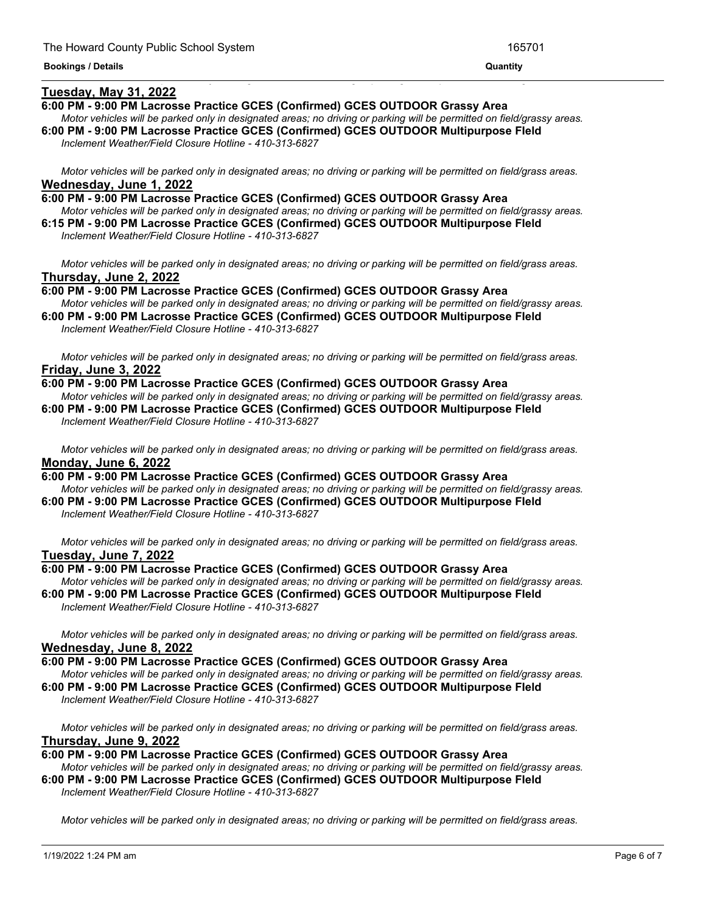# **Tuesday, May 31, 2022**

#### **6:00 PM - 9:00 PM Lacrosse Practice GCES (Confirmed) GCES OUTDOOR Grassy Area**

Motor vehicles will be parked only in designated areas; no driving or parking will be permitted on field/grassy areas.

<u> 1989 - Andrea Andrea Andrea Andrea Andrea Andrea Andrea Andrea Andrea Andrea Andrea Andrea Andrea Andrea And</u>

**6:00 PM - 9:00 PM Lacrosse Practice GCES (Confirmed) GCES OUTDOOR Multipurpose FIeld** *Inclement Weather/Field Closure Hotline - 410-313-6827*

Motor vehicles will be parked only in designated areas; no driving or parking will be permitted on field/grass areas. **Wednesday, June 1, 2022**

**6:00 PM - 9:00 PM Lacrosse Practice GCES (Confirmed) GCES OUTDOOR Grassy Area** Motor vehicles will be parked only in designated areas; no driving or parking will be permitted on field/grassy areas.

**6:15 PM - 9:00 PM Lacrosse Practice GCES (Confirmed) GCES OUTDOOR Multipurpose FIeld** *Inclement Weather/Field Closure Hotline - 410-313-6827*

Motor vehicles will be parked only in designated areas; no driving or parking will be permitted on field/grass areas. **Thursday, June 2, 2022**

**6:00 PM - 9:00 PM Lacrosse Practice GCES (Confirmed) GCES OUTDOOR Grassy Area** Motor vehicles will be parked only in designated areas; no driving or parking will be permitted on field/grassy areas.

**6:00 PM - 9:00 PM Lacrosse Practice GCES (Confirmed) GCES OUTDOOR Multipurpose FIeld** *Inclement Weather/Field Closure Hotline - 410-313-6827*

Motor vehicles will be parked only in designated areas; no driving or parking will be permitted on field/grass areas. **Friday, June 3, 2022**

**6:00 PM - 9:00 PM Lacrosse Practice GCES (Confirmed) GCES OUTDOOR Grassy Area** Motor vehicles will be parked only in designated areas; no driving or parking will be permitted on field/grassy areas. **6:00 PM - 9:00 PM Lacrosse Practice GCES (Confirmed) GCES OUTDOOR Multipurpose FIeld**

*Inclement Weather/Field Closure Hotline - 410-313-6827*

Motor vehicles will be parked only in designated areas; no driving or parking will be permitted on field/grass areas. **Monday, June 6, 2022**

**6:00 PM - 9:00 PM Lacrosse Practice GCES (Confirmed) GCES OUTDOOR Grassy Area** Motor vehicles will be parked only in designated areas; no driving or parking will be permitted on field/grassy areas. **6:00 PM - 9:00 PM Lacrosse Practice GCES (Confirmed) GCES OUTDOOR Multipurpose FIeld**

*Inclement Weather/Field Closure Hotline - 410-313-6827*

Motor vehicles will be parked only in designated areas; no driving or parking will be permitted on field/grass areas. **Tuesday, June 7, 2022**

## **6:00 PM - 9:00 PM Lacrosse Practice GCES (Confirmed) GCES OUTDOOR Grassy Area**

Motor vehicles will be parked only in designated areas; no driving or parking will be permitted on field/grassy areas. **6:00 PM - 9:00 PM Lacrosse Practice GCES (Confirmed) GCES OUTDOOR Multipurpose FIeld** *Inclement Weather/Field Closure Hotline - 410-313-6827*

Motor vehicles will be parked only in designated areas; no driving or parking will be permitted on field/grass areas. **Wednesday, June 8, 2022**

**6:00 PM - 9:00 PM Lacrosse Practice GCES (Confirmed) GCES OUTDOOR Grassy Area**

Motor vehicles will be parked only in designated areas; no driving or parking will be permitted on field/grassy areas. **6:00 PM - 9:00 PM Lacrosse Practice GCES (Confirmed) GCES OUTDOOR Multipurpose FIeld**

*Inclement Weather/Field Closure Hotline - 410-313-6827*

Motor vehicles will be parked only in designated areas; no driving or parking will be permitted on field/grass areas. **Thursday, June 9, 2022**

**6:00 PM - 9:00 PM Lacrosse Practice GCES (Confirmed) GCES OUTDOOR Grassy Area**

Motor vehicles will be parked only in designated areas; no driving or parking will be permitted on field/grassy areas.

**6:00 PM - 9:00 PM Lacrosse Practice GCES (Confirmed) GCES OUTDOOR Multipurpose FIeld** *Inclement Weather/Field Closure Hotline - 410-313-6827*

Motor vehicles will be parked only in designated areas; no driving or parking will be permitted on field/grass areas.